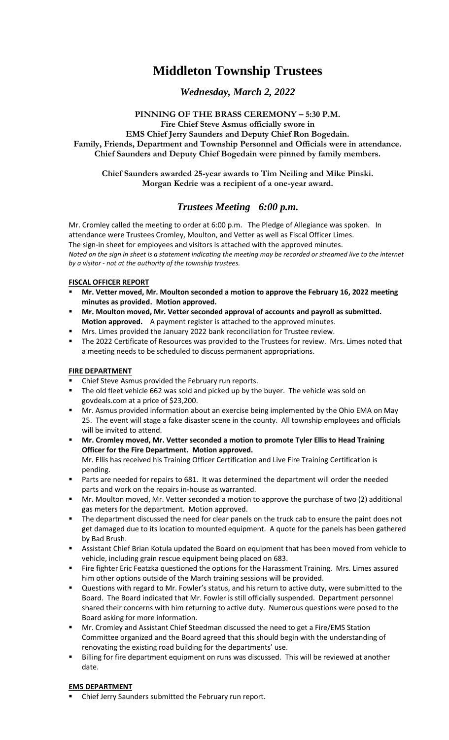# **Middleton Township Trustees**

# *Wednesday, March 2, 2022*

# **PINNING OF THE BRASS CEREMONY – 5:30 P.M.**

**Fire Chief Steve Asmus officially swore in EMS Chief Jerry Saunders and Deputy Chief Ron Bogedain. Family, Friends, Department and Township Personnel and Officials were in attendance. Chief Saunders and Deputy Chief Bogedain were pinned by family members.** 

**Chief Saunders awarded 25-year awards to Tim Neiling and Mike Pinski. Morgan Kedrie was a recipient of a one-year award.** 

# *Trustees Meeting 6:00 p.m.*

Mr. Cromley called the meeting to order at 6:00 p.m. The Pledge of Allegiance was spoken. In attendance were Trustees Cromley, Moulton, and Vetter as well as Fiscal Officer Limes. The sign-in sheet for employees and visitors is attached with the approved minutes. *Noted on the sign in sheet is a statement indicating the meeting may be recorded or streamed live to the internet by a visitor - not at the authority of the township trustees.*

#### **FISCAL OFFICER REPORT**

- **Mr. Vetter moved, Mr. Moulton seconded a motion to approve the February 16, 2022 meeting minutes as provided. Motion approved.**
- **Mr. Moulton moved, Mr. Vetter seconded approval of accounts and payroll as submitted. Motion approved.** A payment register is attached to the approved minutes.
- Mrs. Limes provided the January 2022 bank reconciliation for Trustee review.
- The 2022 Certificate of Resources was provided to the Trustees for review. Mrs. Limes noted that a meeting needs to be scheduled to discuss permanent appropriations.

# **FIRE DEPARTMENT**

- Chief Steve Asmus provided the February run reports.
- The old fleet vehicle 662 was sold and picked up by the buyer. The vehicle was sold on govdeals.com at a price of \$23,200.
- Mr. Asmus provided information about an exercise being implemented by the Ohio EMA on May 25. The event will stage a fake disaster scene in the county. All township employees and officials will be invited to attend.
- Mr. Cromley moved, Mr. Vetter seconded a motion to promote Tyler Ellis to Head Training **Officer for the Fire Department. Motion approved.** Mr. Ellis has received his Training Officer Certification and Live Fire Training Certification is pending.
- Parts are needed for repairs to 681. It was determined the department will order the needed parts and work on the repairs in-house as warranted.
- Mr. Moulton moved, Mr. Vetter seconded a motion to approve the purchase of two (2) additional gas meters for the department. Motion approved.
- The department discussed the need for clear panels on the truck cab to ensure the paint does not get damaged due to its location to mounted equipment. A quote for the panels has been gathered by Bad Brush.
- Assistant Chief Brian Kotula updated the Board on equipment that has been moved from vehicle to vehicle, including grain rescue equipment being placed on 683.
- Fire fighter Eric Featzka questioned the options for the Harassment Training. Mrs. Limes assured him other options outside of the March training sessions will be provided.
- Questions with regard to Mr. Fowler's status, and his return to active duty, were submitted to the Board. The Board indicated that Mr. Fowler is still officially suspended. Department personnel shared their concerns with him returning to active duty. Numerous questions were posed to the Board asking for more information.
- Mr. Cromley and Assistant Chief Steedman discussed the need to get a Fire/EMS Station Committee organized and the Board agreed that this should begin with the understanding of renovating the existing road building for the departments' use.
- Billing for fire department equipment on runs was discussed. This will be reviewed at another date.

#### **EMS DEPARTMENT**

Chief Jerry Saunders submitted the February run report.